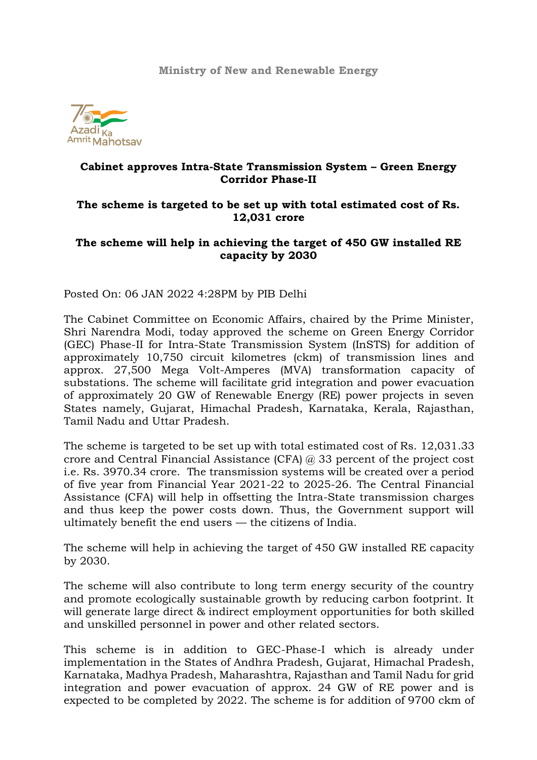

## **Cabinet approves Intra-State Transmission System – Green Energy Corridor Phase-II**

## **The scheme is targeted to be set up with total estimated cost of Rs. 12,031 crore**

## **The scheme will help in achieving the target of 450 GW installed RE capacity by 2030**

Posted On: 06 JAN 2022 4:28PM by PIB Delhi

The Cabinet Committee on Economic Affairs, chaired by the Prime Minister, Shri Narendra Modi, today approved the scheme on Green Energy Corridor (GEC) Phase-II for Intra-State Transmission System (InSTS) for addition of approximately 10,750 circuit kilometres (ckm) of transmission lines and approx. 27,500 Mega Volt-Amperes (MVA) transformation capacity of substations. The scheme will facilitate grid integration and power evacuation of approximately 20 GW of Renewable Energy (RE) power projects in seven States namely, Gujarat, Himachal Pradesh, Karnataka, Kerala, Rajasthan, Tamil Nadu and Uttar Pradesh.

The scheme is targeted to be set up with total estimated cost of Rs. 12,031.33 crore and Central Financial Assistance (CFA) @ 33 percent of the project cost i.e. Rs. 3970.34 crore. The transmission systems will be created over a period of five year from Financial Year 2021-22 to 2025-26. The Central Financial Assistance (CFA) will help in offsetting the Intra-State transmission charges and thus keep the power costs down. Thus, the Government support will ultimately benefit the end users — the citizens of India.

The scheme will help in achieving the target of 450 GW installed RE capacity by 2030.

The scheme will also contribute to long term energy security of the country and promote ecologically sustainable growth by reducing carbon footprint. It will generate large direct & indirect employment opportunities for both skilled and unskilled personnel in power and other related sectors.

This scheme is in addition to GEC-Phase-I which is already under implementation in the States of Andhra Pradesh, Gujarat, Himachal Pradesh, Karnataka, Madhya Pradesh, Maharashtra, Rajasthan and Tamil Nadu for grid integration and power evacuation of approx. 24 GW of RE power and is expected to be completed by 2022. The scheme is for addition of 9700 ckm of